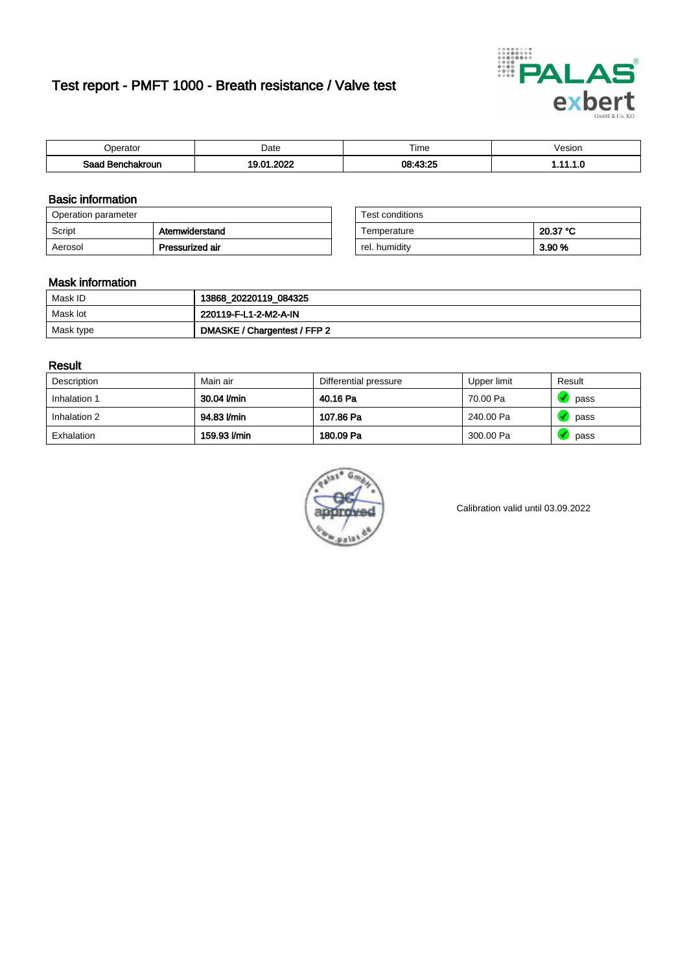# Test report - PMFT 1000 - Breath resistance / Valve test



| <b>'</b> perator              | Date      | $- \cdot$<br><b>Time</b> | /esion |
|-------------------------------|-----------|--------------------------|--------|
| Saad<br><b>nchakroun</b><br>. | റററ<br>Λ. | 08.13.25                 | .      |

### Basic information

| Operation parameter |                 | Test conditions |          |
|---------------------|-----------------|-----------------|----------|
| Script              | Atemwiderstand  | Temperature     | 20.37 °C |
| Aerosol             | Pressurized air | rel. humidity   | 3.90 %   |

| Test conditions |          |
|-----------------|----------|
| Temperature     | 20.37 °C |
| rel. humidity   | 3.90 %   |

#### Mask information

| Mask ID   | 13868_20220119_084325        |
|-----------|------------------------------|
| Mask lot  | 220119-F-L1-2-M2-A-IN        |
| Mask type | DMASKE / Chargentest / FFP 2 |

### Result

| Description  | Main air     | Differential pressure | Upper limit | Result |
|--------------|--------------|-----------------------|-------------|--------|
| Inhalation 1 | 30.04 l/min  | 40.16 Pa              | 70.00 Pa    | pass   |
| Inhalation 2 | 94.83 l/min  | 107.86 Pa             | 240.00 Pa   | pass   |
| Exhalation   | 159.93 l/min | 180.09 Pa             | 300.00 Pa   | pass   |



Calibration valid until 03.09.2022